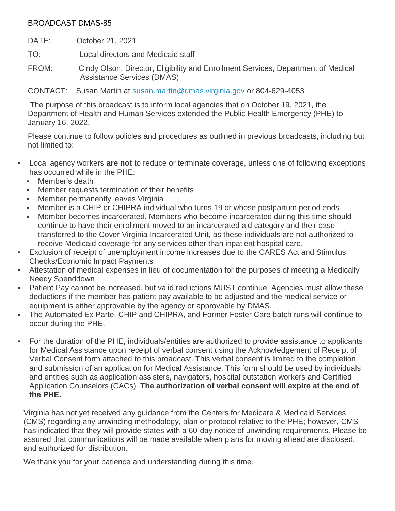## BROADCAST DMAS-85

DATE: October 21, 2021

TO: Local directors and Medicaid staff

FROM: Cindy Olson, Director, Eligibility and Enrollment Services, Department of Medical Assistance Services (DMAS)

CONTACT: Susan Martin at [susan.martin@dmas.virginia.gov](mailto:susan.martin@dmas.virginia.gov) or 804-629-4053

The purpose of this broadcast is to inform local agencies that on October 19, 2021, the Department of Health and Human Services extended the Public Health Emergency (PHE) to January 16, 2022.

Please continue to follow policies and procedures as outlined in previous broadcasts, including but not limited to:

- Local agency workers **are not** to reduce or terminate coverage, unless one of following exceptions has occurred while in the PHE:
	- Member's death
	- Member requests termination of their benefits
	- **Member permanently leaves Virginia**
	- Member is a CHIP or CHIPRA individual who turns 19 or whose postpartum period ends
	- Member becomes incarcerated. Members who become incarcerated during this time should continue to have their enrollment moved to an incarcerated aid category and their case transferred to the Cover Virginia Incarcerated Unit, as these individuals are not authorized to receive Medicaid coverage for any services other than inpatient hospital care.
- Exclusion of receipt of unemployment income increases due to the CARES Act and Stimulus Checks/Economic Impact Payments
- Attestation of medical expenses in lieu of documentation for the purposes of meeting a Medically Needy Spenddown
- Patient Pay cannot be increased, but valid reductions MUST continue. Agencies must allow these deductions if the member has patient pay available to be adjusted and the medical service or equipment is either approvable by the agency or approvable by DMAS.
- The Automated Ex Parte, CHIP and CHIPRA, and Former Foster Care batch runs will continue to occur during the PHE.
- For the duration of the PHE, individuals/entities are authorized to provide assistance to applicants for Medical Assistance upon receipt of verbal consent using the Acknowledgement of Receipt of Verbal Consent form attached to this broadcast. This verbal consent is limited to the completion and submission of an application for Medical Assistance. This form should be used by individuals and entities such as application assisters, navigators, hospital outstation workers and Certified Application Counselors (CACs). **The authorization of verbal consent will expire at the end of the PHE.**

Virginia has not yet received any guidance from the Centers for Medicare & Medicaid Services (CMS) regarding any unwinding methodology, plan or protocol relative to the PHE; however, CMS has indicated that they will provide states with a 60-day notice of unwinding requirements. Please be assured that communications will be made available when plans for moving ahead are disclosed, and authorized for distribution.

We thank you for your patience and understanding during this time.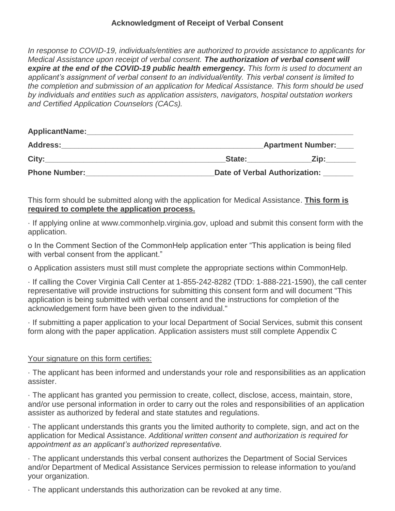## **Acknowledgment of Receipt of Verbal Consent**

*In response to COVID-19, individuals/entities are authorized to provide assistance to applicants for Medical Assistance upon receipt of verbal consent. The authorization of verbal consent will expire at the end of the COVID-19 public health emergency. This form is used to document an applicant's assignment of verbal consent to an individual/entity. This verbal consent is limited to the completion and submission of an application for Medical Assistance. This form should be used by individuals and entities such as application assisters, navigators, hospital outstation workers and Certified Application Counselors (CACs).*

| ApplicantName:       |                               |      |
|----------------------|-------------------------------|------|
| <b>Address:</b>      | <b>Apartment Number:</b>      |      |
| City:                | State:                        | Zin: |
| <b>Phone Number:</b> | Date of Verbal Authorization: |      |

This form should be submitted along with the application for Medical Assistance. **This form is required to complete the application process.**

· If applying online at www.commonhelp.virginia.gov, upload and submit this consent form with the application.

o In the Comment Section of the CommonHelp application enter "This application is being filed with verbal consent from the applicant."

o Application assisters must still must complete the appropriate sections within CommonHelp.

· If calling the Cover Virginia Call Center at 1-855-242-8282 (TDD: 1-888-221-1590), the call center representative will provide instructions for submitting this consent form and will document "This application is being submitted with verbal consent and the instructions for completion of the acknowledgement form have been given to the individual."

· If submitting a paper application to your local Department of Social Services, submit this consent form along with the paper application. Application assisters must still complete Appendix C

## Your signature on this form certifies:

· The applicant has been informed and understands your role and responsibilities as an application assister.

· The applicant has granted you permission to create, collect, disclose, access, maintain, store, and/or use personal information in order to carry out the roles and responsibilities of an application assister as authorized by federal and state statutes and regulations.

· The applicant understands this grants you the limited authority to complete, sign, and act on the application for Medical Assistance. *Additional written consent and authorization is required for appointment as an applicant's authorized representative.*

· The applicant understands this verbal consent authorizes the Department of Social Services and/or Department of Medical Assistance Services permission to release information to you/and your organization.

· The applicant understands this authorization can be revoked at any time.